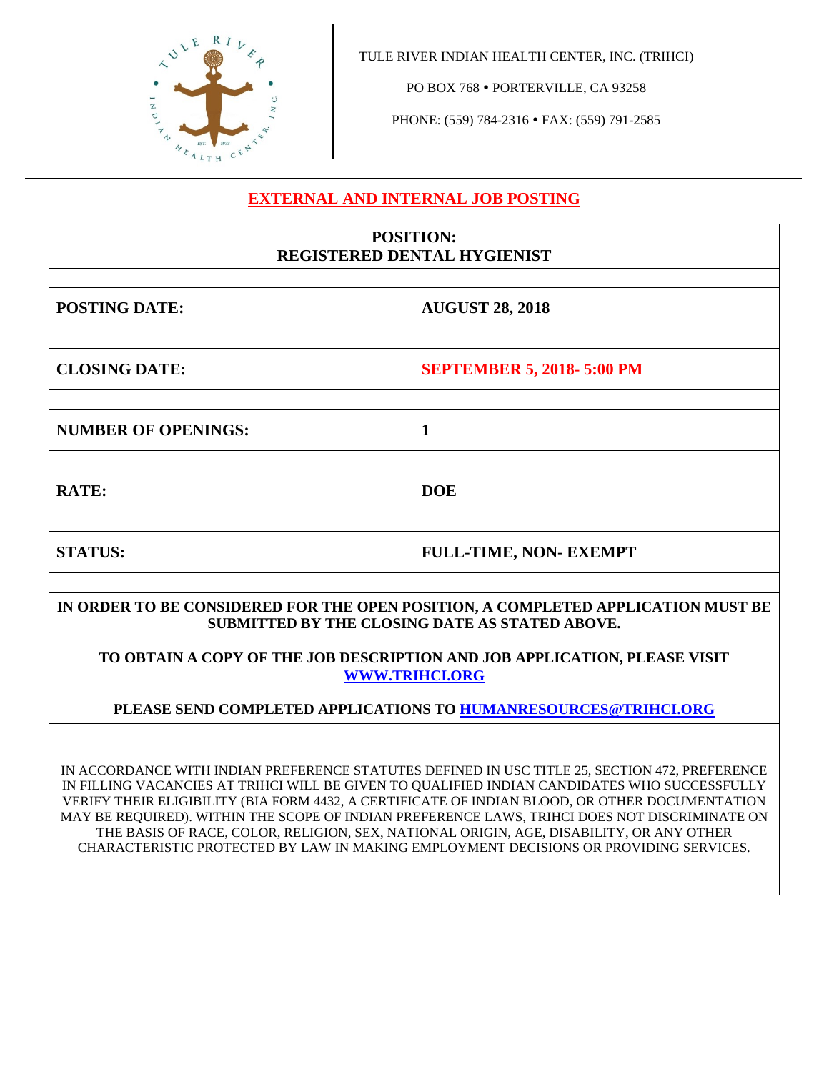

TULE RIVER INDIAN HEALTH CENTER, INC. (TRIHCI)

PO BOX 768 · PORTERVILLE, CA 93258

PHONE: (559) 784-2316 FAX: (559) 791-2585

# **EXTERNAL AND INTERNAL JOB POSTING**

| <b>POSITION:</b><br>REGISTERED DENTAL HYGIENIST |                                  |  |
|-------------------------------------------------|----------------------------------|--|
|                                                 |                                  |  |
| <b>POSTING DATE:</b>                            | <b>AUGUST 28, 2018</b>           |  |
|                                                 |                                  |  |
| <b>CLOSING DATE:</b>                            | <b>SEPTEMBER 5, 2018-5:00 PM</b> |  |
|                                                 |                                  |  |
| <b>NUMBER OF OPENINGS:</b>                      | 1                                |  |
|                                                 |                                  |  |
| <b>RATE:</b>                                    | <b>DOE</b>                       |  |
|                                                 |                                  |  |
| <b>STATUS:</b>                                  | FULL-TIME, NON- EXEMPT           |  |
|                                                 |                                  |  |

## **IN ORDER TO BE CONSIDERED FOR THE OPEN POSITION, A COMPLETED APPLICATION MUST BE SUBMITTED BY THE CLOSING DATE AS STATED ABOVE.**

**TO OBTAIN A COPY OF THE JOB DESCRIPTION AND JOB APPLICATION, PLEASE VISIT [WWW.TRIHCI.ORG](http://www.trihci.org/)**

## **PLEASE SEND COMPLETED APPLICATIONS TO [HUMANRESOURCES@TRIHCI.ORG](mailto:HUMANRESOURCES@TRIHCI.ORG)**

IN ACCORDANCE WITH INDIAN PREFERENCE STATUTES DEFINED IN USC TITLE 25, SECTION 472, PREFERENCE IN FILLING VACANCIES AT TRIHCI WILL BE GIVEN TO QUALIFIED INDIAN CANDIDATES WHO SUCCESSFULLY VERIFY THEIR ELIGIBILITY (BIA FORM 4432, A CERTIFICATE OF INDIAN BLOOD, OR OTHER DOCUMENTATION MAY BE REQUIRED). WITHIN THE SCOPE OF INDIAN PREFERENCE LAWS, TRIHCI DOES NOT DISCRIMINATE ON THE BASIS OF RACE, COLOR, RELIGION, SEX, NATIONAL ORIGIN, AGE, DISABILITY, OR ANY OTHER CHARACTERISTIC PROTECTED BY LAW IN MAKING EMPLOYMENT DECISIONS OR PROVIDING SERVICES.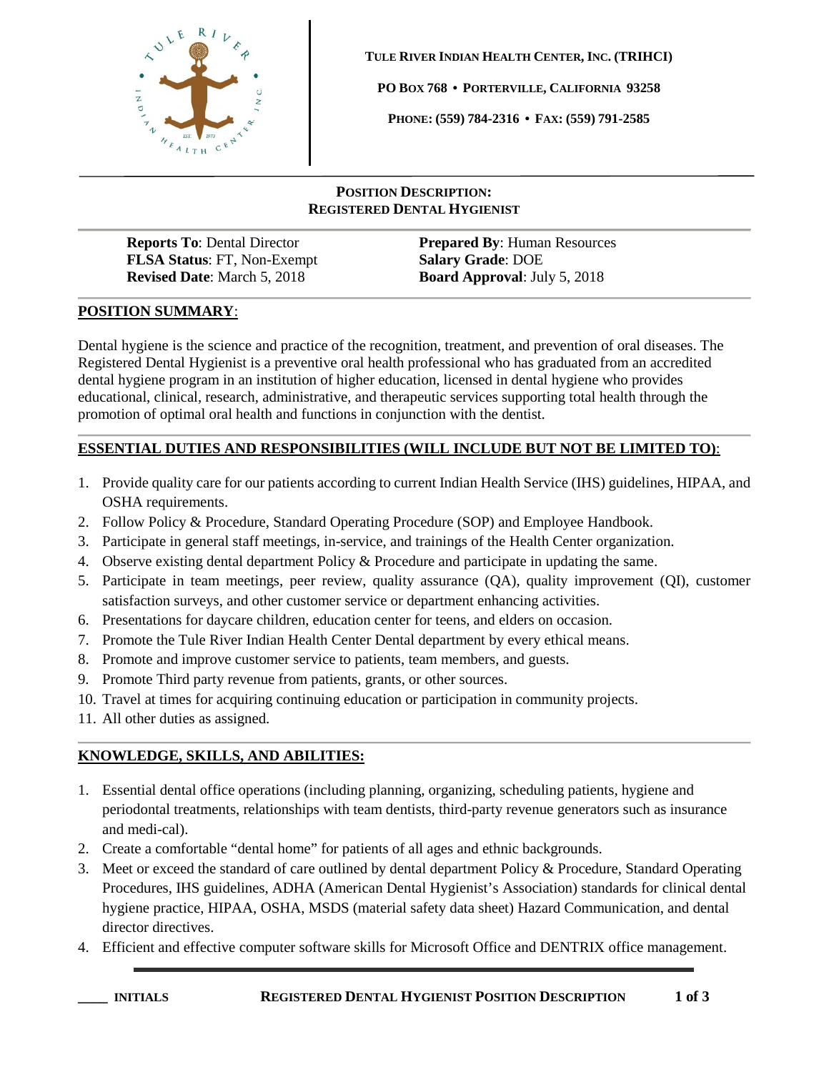

**TULE RIVER INDIAN HEALTH CENTER, INC. (TRIHCI)**

**PO BOX 768 • PORTERVILLE, CALIFORNIA 93258**

**PHONE: (559) 784-2316 • FAX: (559) 791-2585**

## **POSITION DESCRIPTION: REGISTERED DENTAL HYGIENIST**

**FLSA Status**: FT, Non-Exempt **Salary Grade**: DOE **Revised Date**: March 5, 2018 **Board Approval**: July 5, 2018

**Reports To**: Dental Director **Prepared By**: Human Resources

## **POSITION SUMMARY**:

Dental hygiene is the science and practice of the recognition, treatment, and prevention of oral diseases. The Registered Dental Hygienist is a preventive oral health professional who has graduated from an accredited dental hygiene program in an institution of higher education, licensed in dental hygiene who provides educational, clinical, research, administrative, and therapeutic services supporting total health through the promotion of optimal oral health and functions in conjunction with the dentist.

# **ESSENTIAL DUTIES AND RESPONSIBILITIES (WILL INCLUDE BUT NOT BE LIMITED TO)**:

- 1. Provide quality care for our patients according to current Indian Health Service (IHS) guidelines, HIPAA, and OSHA requirements.
- 2. Follow Policy & Procedure, Standard Operating Procedure (SOP) and Employee Handbook.
- 3. Participate in general staff meetings, in-service, and trainings of the Health Center organization.
- 4. Observe existing dental department Policy & Procedure and participate in updating the same.
- 5. Participate in team meetings, peer review, quality assurance (QA), quality improvement (QI), customer satisfaction surveys, and other customer service or department enhancing activities.
- 6. Presentations for daycare children, education center for teens, and elders on occasion.
- 7. Promote the Tule River Indian Health Center Dental department by every ethical means.
- 8. Promote and improve customer service to patients, team members, and guests.
- 9. Promote Third party revenue from patients, grants, or other sources.
- 10. Travel at times for acquiring continuing education or participation in community projects.
- 11. All other duties as assigned.

# **KNOWLEDGE, SKILLS, AND ABILITIES:**

- 1. Essential dental office operations (including planning, organizing, scheduling patients, hygiene and periodontal treatments, relationships with team dentists, third-party revenue generators such as insurance and medi-cal).
- 2. Create a comfortable "dental home" for patients of all ages and ethnic backgrounds.
- 3. Meet or exceed the standard of care outlined by dental department Policy & Procedure, Standard Operating Procedures, IHS guidelines, ADHA (American Dental Hygienist's Association) standards for clinical dental hygiene practice, HIPAA, OSHA, MSDS (material safety data sheet) Hazard Communication, and dental director directives.
- 4. Efficient and effective computer software skills for Microsoft Office and DENTRIX office management.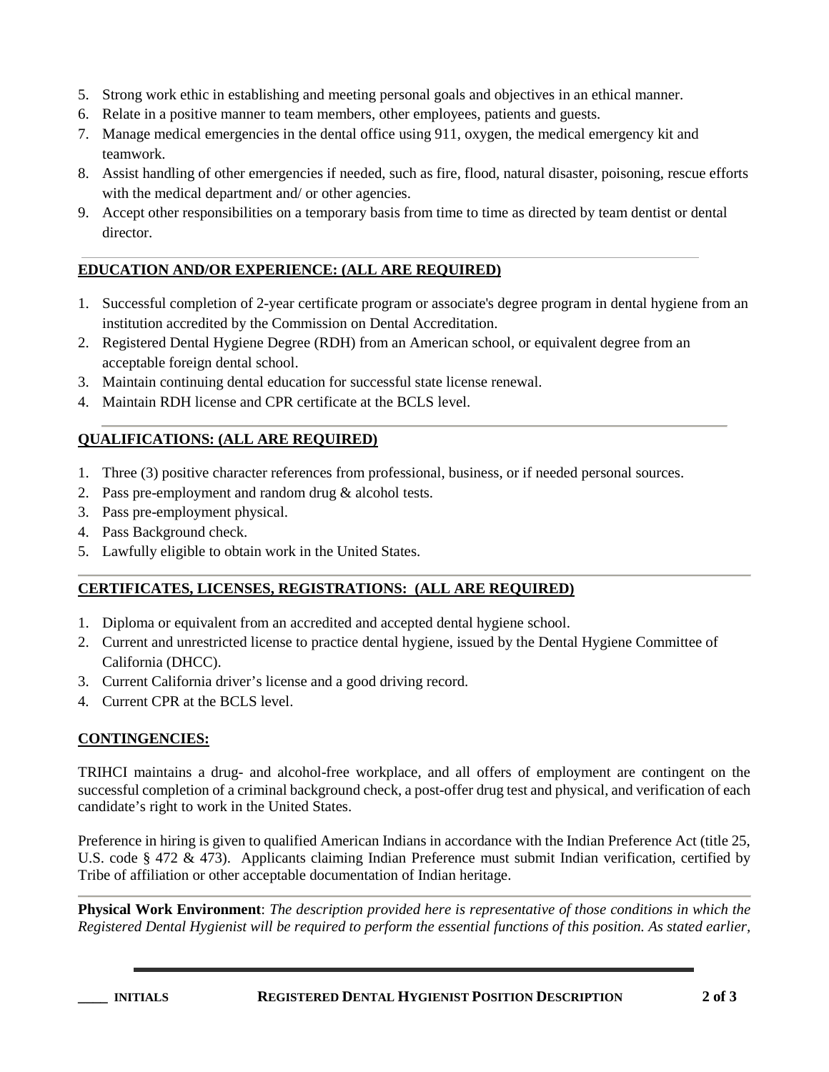- 5. Strong work ethic in establishing and meeting personal goals and objectives in an ethical manner.
- 6. Relate in a positive manner to team members, other employees, patients and guests.
- 7. Manage medical emergencies in the dental office using 911, oxygen, the medical emergency kit and teamwork.
- 8. Assist handling of other emergencies if needed, such as fire, flood, natural disaster, poisoning, rescue efforts with the medical department and/ or other agencies.
- 9. Accept other responsibilities on a temporary basis from time to time as directed by team dentist or dental director.

## **EDUCATION AND/OR EXPERIENCE: (ALL ARE REQUIRED)**

- 1. Successful completion of 2-year certificate program or associate's degree program in dental hygiene from an institution accredited by the Commission on Dental Accreditation.
- 2. Registered Dental Hygiene Degree (RDH) from an American school, or equivalent degree from an acceptable foreign dental school.
- 3. Maintain continuing dental education for successful state license renewal.
- 4. Maintain RDH license and CPR certificate at the BCLS level.

## **QUALIFICATIONS: (ALL ARE REQUIRED)**

- 1. Three (3) positive character references from professional, business, or if needed personal sources.
- 2. Pass pre-employment and random drug & alcohol tests.
- 3. Pass pre-employment physical.
- 4. Pass Background check.
- 5. Lawfully eligible to obtain work in the United States.

## **CERTIFICATES, LICENSES, REGISTRATIONS: (ALL ARE REQUIRED)**

- 1. Diploma or equivalent from an accredited and accepted dental hygiene school.
- 2. Current and unrestricted license to practice dental hygiene, issued by the Dental Hygiene Committee of California (DHCC).
- 3. Current California driver's license and a good driving record.
- 4. Current CPR at the BCLS level.

#### **CONTINGENCIES:**

TRIHCI maintains a drug- and alcohol-free workplace, and all offers of employment are contingent on the successful completion of a criminal background check, a post-offer drug test and physical, and verification of each candidate's right to work in the United States.

Preference in hiring is given to qualified American Indians in accordance with the Indian Preference Act (title 25, U.S. code § 472 & 473). Applicants claiming Indian Preference must submit Indian verification, certified by Tribe of affiliation or other acceptable documentation of Indian heritage.

**Physical Work Environment**: *The description provided here is representative of those conditions in which the Registered Dental Hygienist will be required to perform the essential functions of this position. As stated earlier,*